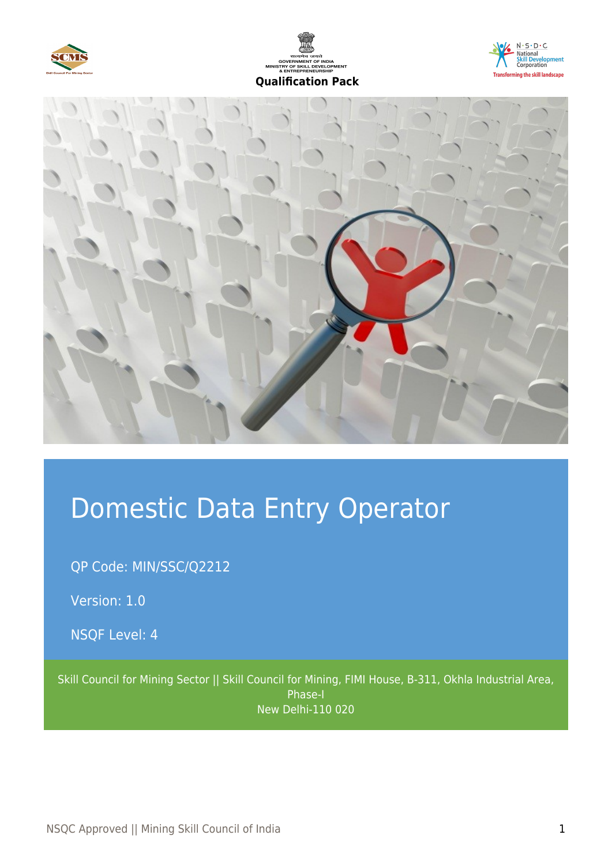







# Domestic Data Entry Operator

QP Code: MIN/SSC/Q2212

Version: 1.0

NSQF Level: 4

Skill Council for Mining Sector || Skill Council for Mining, FIMI House, B-311, Okhla Industrial Area, Phase-I New Delhi-110 020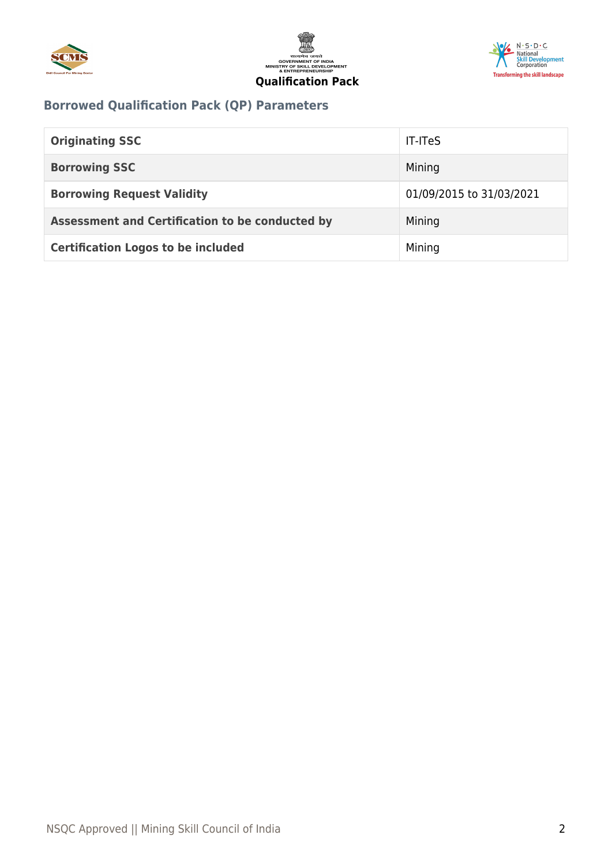





## **Borrowed Qualification Pack (QP) Parameters**

| <b>Originating SSC</b>                          | <b>IT-ITeS</b>           |
|-------------------------------------------------|--------------------------|
| <b>Borrowing SSC</b>                            | Mining                   |
| <b>Borrowing Request Validity</b>               | 01/09/2015 to 31/03/2021 |
| Assessment and Certification to be conducted by | Mining                   |
| <b>Certification Logos to be included</b>       | Mining                   |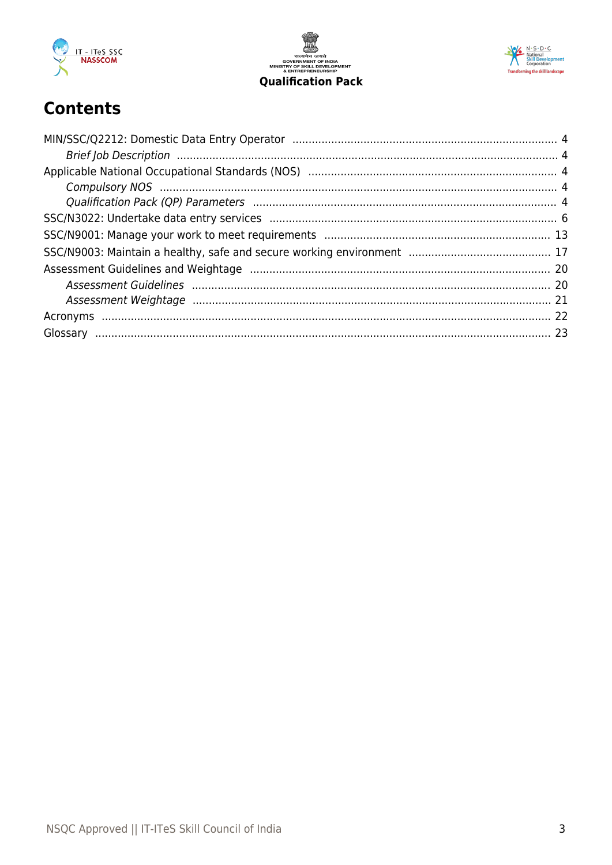





# **Contents**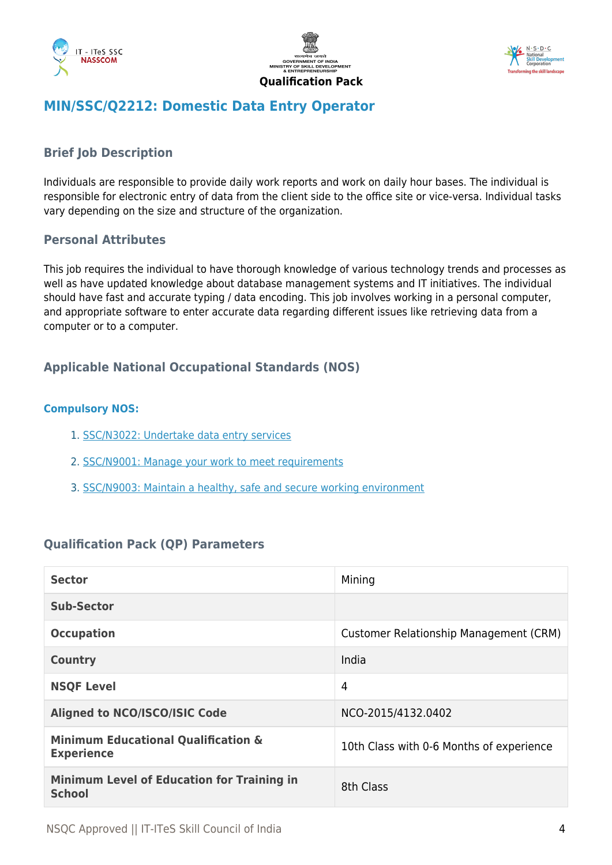





### <span id="page-3-0"></span>**MIN/SSC/Q2212: Domestic Data Entry Operator**

#### <span id="page-3-1"></span>**Brief Job Description**

Individuals are responsible to provide daily work reports and work on daily hour bases. The individual is responsible for electronic entry of data from the client side to the office site or vice-versa. Individual tasks vary depending on the size and structure of the organization.

#### **Personal Attributes**

This job requires the individual to have thorough knowledge of various technology trends and processes as well as have updated knowledge about database management systems and IT initiatives. The individual should have fast and accurate typing / data encoding. This job involves working in a personal computer, and appropriate software to enter accurate data regarding different issues like retrieving data from a computer or to a computer.

#### <span id="page-3-2"></span>**Applicable National Occupational Standards (NOS)**

#### <span id="page-3-3"></span>**Compulsory NOS:**

- 1. [SSC/N3022: Undertake data entry services](#page-5-0)
- 2. [SSC/N9001: Manage your work to meet requirements](#page-12-0)
- 3. [SSC/N9003: Maintain a healthy, safe and secure working environment](#page-16-0)

#### <span id="page-3-4"></span>**Qualification Pack (QP) Parameters**

| <b>Sector</b>                                                       | Mining                                   |
|---------------------------------------------------------------------|------------------------------------------|
| Sub-Sector                                                          |                                          |
| <b>Occupation</b>                                                   | Customer Relationship Management (CRM)   |
| <b>Country</b>                                                      | India                                    |
| <b>NSQF Level</b>                                                   | 4                                        |
| <b>Aligned to NCO/ISCO/ISIC Code</b>                                | NCO-2015/4132.0402                       |
| <b>Minimum Educational Qualification &amp;</b><br><b>Experience</b> | 10th Class with 0-6 Months of experience |
| <b>Minimum Level of Education for Training in</b><br><b>School</b>  | 8th Class                                |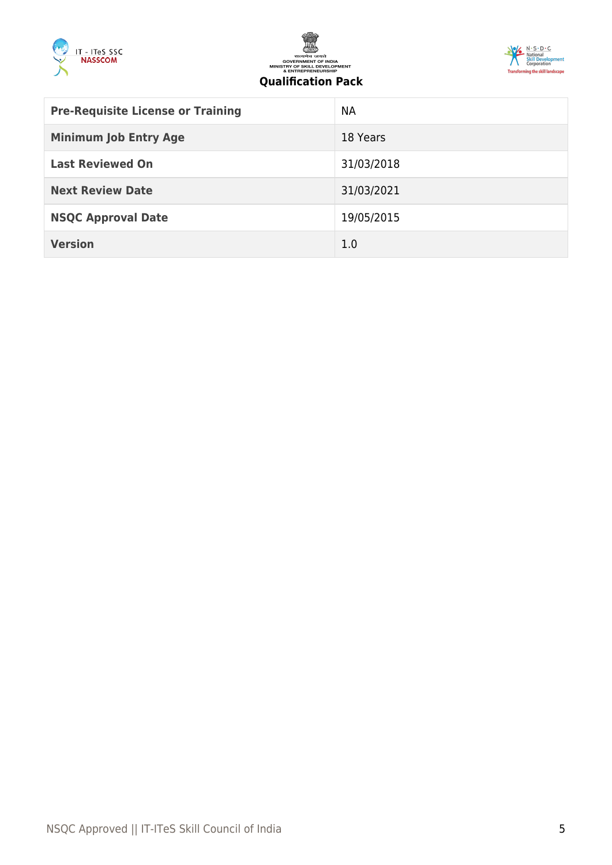





#### **Qualification Pack**

| <b>Pre-Requisite License or Training</b> | <b>NA</b>  |
|------------------------------------------|------------|
| <b>Minimum Job Entry Age</b>             | 18 Years   |
| <b>Last Reviewed On</b>                  | 31/03/2018 |
| <b>Next Review Date</b>                  | 31/03/2021 |
| <b>NSQC Approval Date</b>                | 19/05/2015 |
| <b>Version</b>                           | 1.0        |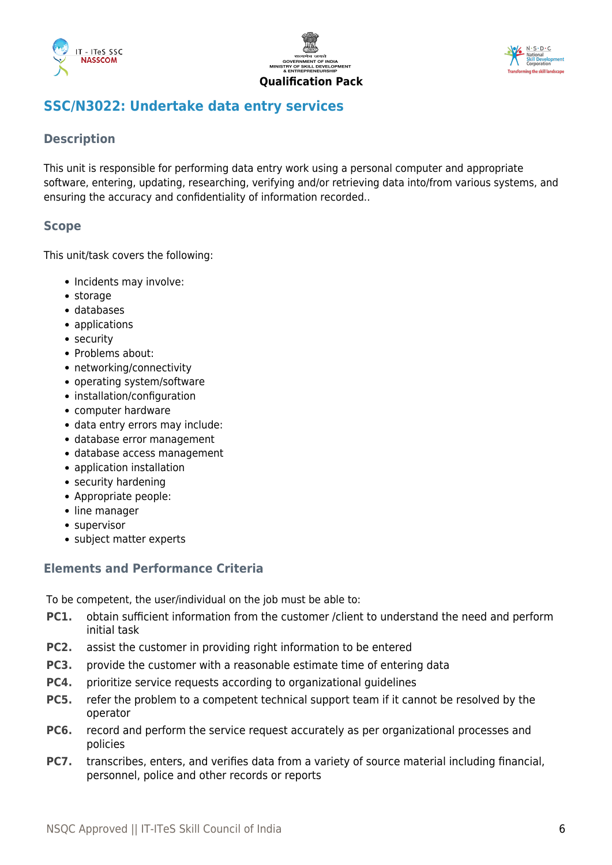





### <span id="page-5-0"></span>**SSC/N3022: Undertake data entry services**

#### **Description**

This unit is responsible for performing data entry work using a personal computer and appropriate software, entering, updating, researching, verifying and/or retrieving data into/from various systems, and ensuring the accuracy and confidentiality of information recorded..

#### **Scope**

This unit/task covers the following:

- Incidents may involve:
- storage
- databases
- applications
- security
- Problems about:
- networking/connectivity
- operating system/software
- installation/configuration
- computer hardware
- data entry errors may include:
- database error management
- database access management
- application installation
- security hardening
- Appropriate people:
- line manager
- supervisor
- subject matter experts

#### **Elements and Performance Criteria**

To be competent, the user/individual on the job must be able to:

- **PC1.** obtain sufficient information from the customer /client to understand the need and perform initial task
- **PC2.** assist the customer in providing right information to be entered
- **PC3.** provide the customer with a reasonable estimate time of entering data
- **PC4.** prioritize service requests according to organizational guidelines
- **PC5.** refer the problem to a competent technical support team if it cannot be resolved by the operator
- **PC6.** record and perform the service request accurately as per organizational processes and policies
- **PC7.** transcribes, enters, and verifies data from a variety of source material including financial, personnel, police and other records or reports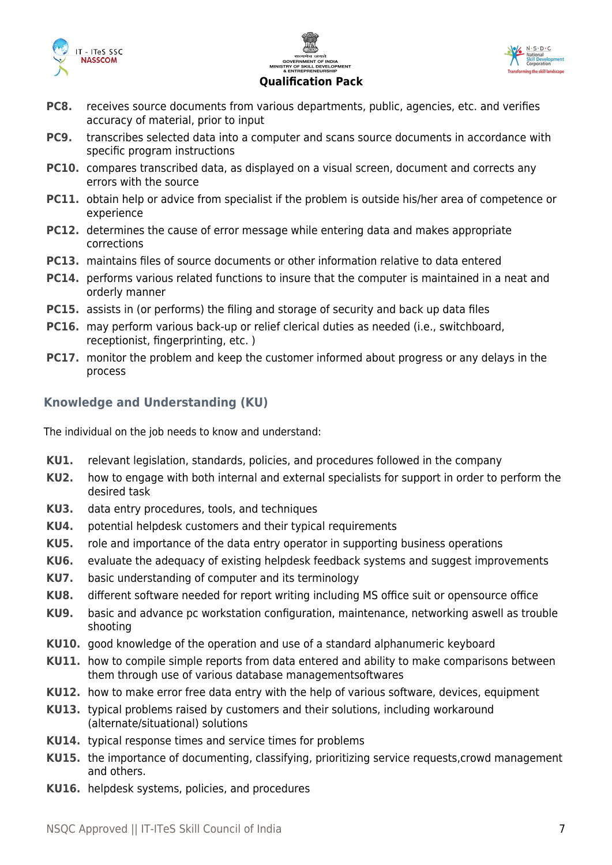





- **PC8.** receives source documents from various departments, public, agencies, etc. and verifies accuracy of material, prior to input
- **PC9.** transcribes selected data into a computer and scans source documents in accordance with specific program instructions
- **PC10.** compares transcribed data, as displayed on a visual screen, document and corrects any errors with the source
- **PC11.** obtain help or advice from specialist if the problem is outside his/her area of competence or experience
- **PC12.** determines the cause of error message while entering data and makes appropriate corrections
- **PC13.** maintains files of source documents or other information relative to data entered
- **PC14.** performs various related functions to insure that the computer is maintained in a neat and orderly manner
- **PC15.** assists in (or performs) the filing and storage of security and back up data files
- **PC16.** may perform various back-up or relief clerical duties as needed (i.e., switchboard, receptionist, fingerprinting, etc. )
- **PC17.** monitor the problem and keep the customer informed about progress or any delays in the process

#### **Knowledge and Understanding (KU)**

The individual on the job needs to know and understand:

- **KU1.** relevant legislation, standards, policies, and procedures followed in the company
- **KU2.** how to engage with both internal and external specialists for support in order to perform the desired task
- **KU3.** data entry procedures, tools, and techniques
- **KU4.** potential helpdesk customers and their typical requirements
- **KU5.** role and importance of the data entry operator in supporting business operations
- **KU6.** evaluate the adequacy of existing helpdesk feedback systems and suggest improvements
- **KU7.** basic understanding of computer and its terminology
- **KU8.** different software needed for report writing including MS office suit or opensource office
- **KU9.** basic and advance pc workstation configuration, maintenance, networking aswell as trouble shooting
- **KU10.** good knowledge of the operation and use of a standard alphanumeric keyboard
- **KU11.** how to compile simple reports from data entered and ability to make comparisons between them through use of various database managementsoftwares
- **KU12.** how to make error free data entry with the help of various software, devices, equipment
- **KU13.** typical problems raised by customers and their solutions, including workaround (alternate/situational) solutions
- **KU14.** typical response times and service times for problems
- **KU15.** the importance of documenting, classifying, prioritizing service requests,crowd management and others.
- **KU16.** helpdesk systems, policies, and procedures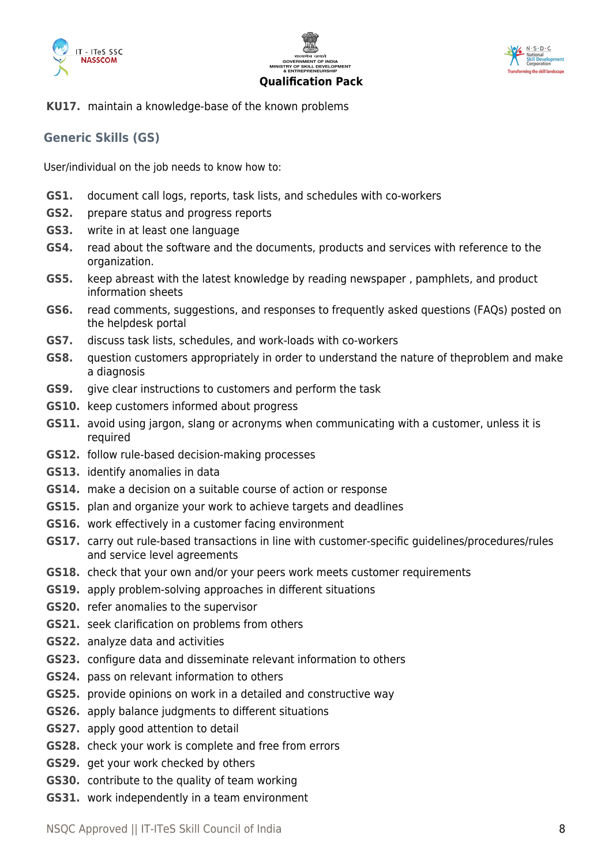





**KU17.** maintain a knowledge-base of the known problems

#### **Generic Skills (GS)**

User/individual on the job needs to know how to:

- **GS1.** document call logs, reports, task lists, and schedules with co-workers
- **GS2.** prepare status and progress reports
- **GS3.** write in at least one language
- **GS4.** read about the software and the documents, products and services with reference to the organization.
- **GS5.** keep abreast with the latest knowledge by reading newspaper , pamphlets, and product information sheets
- **GS6.** read comments, suggestions, and responses to frequently asked questions (FAQs) posted on the helpdesk portal
- **GS7.** discuss task lists, schedules, and work-loads with co-workers
- **GS8.** question customers appropriately in order to understand the nature of theproblem and make a diagnosis
- **GS9.** give clear instructions to customers and perform the task
- **GS10.** keep customers informed about progress
- **GS11.** avoid using jargon, slang or acronyms when communicating with a customer, unless it is required
- **GS12.** follow rule-based decision-making processes
- **GS13.** identify anomalies in data
- **GS14.** make a decision on a suitable course of action or response
- **GS15.** plan and organize your work to achieve targets and deadlines
- **GS16.** work effectively in a customer facing environment
- **GS17.** carry out rule-based transactions in line with customer-specific guidelines/procedures/rules and service level agreements
- **GS18.** check that your own and/or your peers work meets customer requirements
- **GS19.** apply problem-solving approaches in different situations
- **GS20.** refer anomalies to the supervisor
- **GS21.** seek clarification on problems from others
- **GS22.** analyze data and activities
- **GS23.** configure data and disseminate relevant information to others
- **GS24.** pass on relevant information to others
- **GS25.** provide opinions on work in a detailed and constructive way
- **GS26.** apply balance judgments to different situations
- **GS27.** apply good attention to detail
- **GS28.** check your work is complete and free from errors
- **GS29.** get your work checked by others
- **GS30.** contribute to the quality of team working
- **GS31.** work independently in a team environment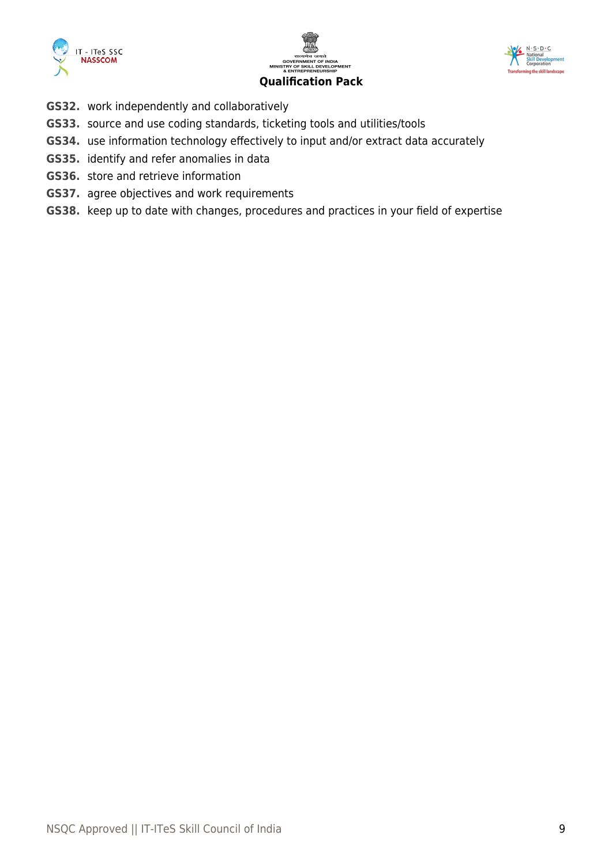





- **GS32.** work independently and collaboratively
- **GS33.** source and use coding standards, ticketing tools and utilities/tools
- **GS34.** use information technology effectively to input and/or extract data accurately
- **GS35.** identify and refer anomalies in data
- **GS36.** store and retrieve information
- **GS37.** agree objectives and work requirements
- **GS38.** keep up to date with changes, procedures and practices in your field of expertise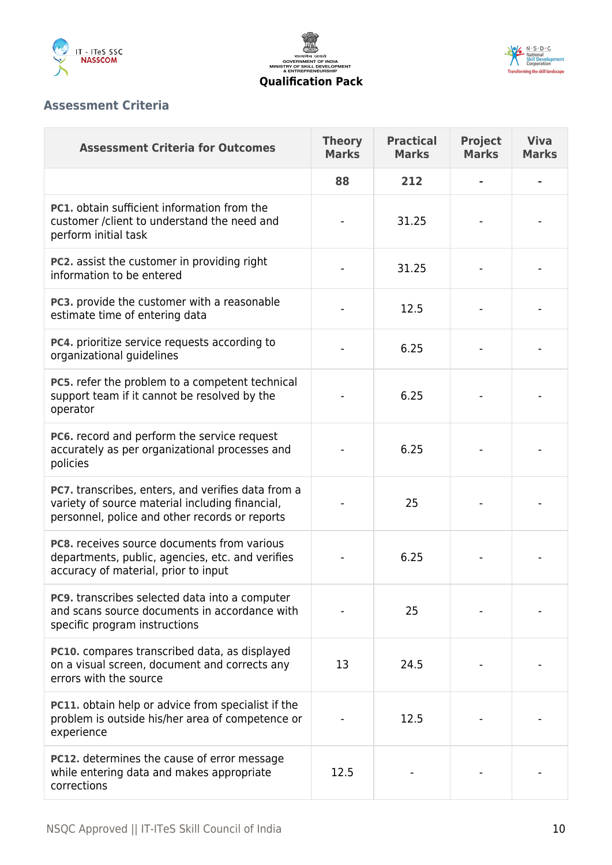





#### **Assessment Criteria**

| <b>Assessment Criteria for Outcomes</b>                                                                                                                 | <b>Theory</b><br><b>Marks</b> | <b>Practical</b><br><b>Marks</b> | <b>Project</b><br><b>Marks</b> | <b>Viva</b><br><b>Marks</b> |
|---------------------------------------------------------------------------------------------------------------------------------------------------------|-------------------------------|----------------------------------|--------------------------------|-----------------------------|
|                                                                                                                                                         | 88                            | 212                              |                                |                             |
| <b>PC1.</b> obtain sufficient information from the<br>customer / client to understand the need and<br>perform initial task                              |                               | 31.25                            |                                |                             |
| <b>PC2.</b> assist the customer in providing right<br>information to be entered                                                                         |                               | 31.25                            |                                |                             |
| PC3. provide the customer with a reasonable<br>estimate time of entering data                                                                           |                               | 12.5                             |                                |                             |
| PC4. prioritize service requests according to<br>organizational guidelines                                                                              |                               | 6.25                             |                                |                             |
| PC5. refer the problem to a competent technical<br>support team if it cannot be resolved by the<br>operator                                             |                               | 6.25                             |                                |                             |
| PC6. record and perform the service request<br>accurately as per organizational processes and<br>policies                                               |                               | 6.25                             |                                |                             |
| PC7. transcribes, enters, and verifies data from a<br>variety of source material including financial,<br>personnel, police and other records or reports |                               | 25                               |                                |                             |
| <b>PC8.</b> receives source documents from various<br>departments, public, agencies, etc. and verifies<br>accuracy of material, prior to input          |                               | 6.25                             |                                |                             |
| <b>PC9.</b> transcribes selected data into a computer<br>and scans source documents in accordance with<br>specific program instructions                 |                               | 25                               |                                |                             |
| PC10. compares transcribed data, as displayed<br>on a visual screen, document and corrects any<br>errors with the source                                | 13                            | 24.5                             |                                |                             |
| PC11. obtain help or advice from specialist if the<br>problem is outside his/her area of competence or<br>experience                                    |                               | 12.5                             |                                |                             |
| <b>PC12.</b> determines the cause of error message<br>while entering data and makes appropriate<br>corrections                                          | 12.5                          |                                  |                                |                             |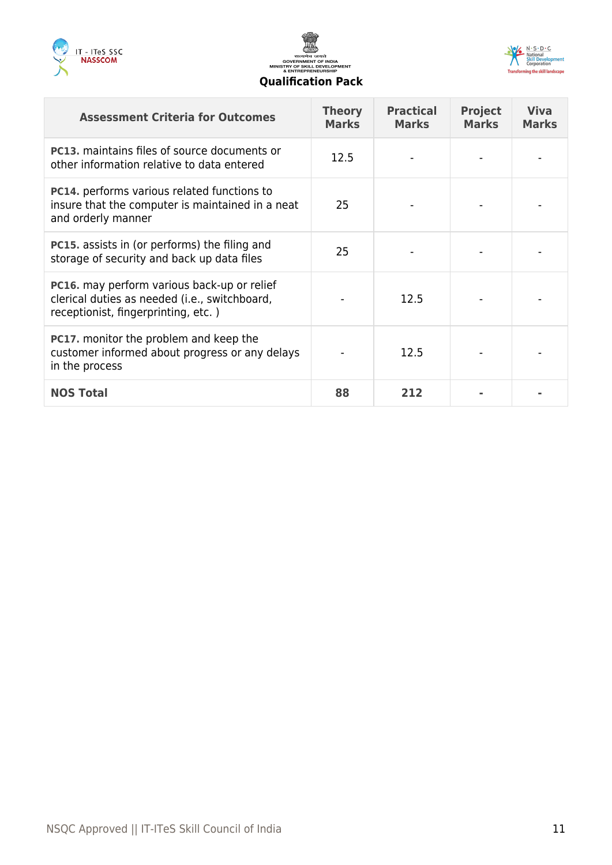





| <b>Assessment Criteria for Outcomes</b>                                                                                                    | <b>Theory</b><br><b>Marks</b> | <b>Practical</b><br><b>Marks</b> | <b>Project</b><br><b>Marks</b> | <b>Viva</b><br><b>Marks</b> |
|--------------------------------------------------------------------------------------------------------------------------------------------|-------------------------------|----------------------------------|--------------------------------|-----------------------------|
| <b>PC13.</b> maintains files of source documents or<br>other information relative to data entered                                          | 12.5                          |                                  |                                |                             |
| <b>PC14.</b> performs various related functions to<br>insure that the computer is maintained in a neat<br>and orderly manner               | 25                            |                                  |                                |                             |
| <b>PC15.</b> assists in (or performs) the filing and<br>storage of security and back up data files                                         | 25                            |                                  |                                |                             |
| <b>PC16.</b> may perform various back-up or relief<br>clerical duties as needed (i.e., switchboard,<br>receptionist, fingerprinting, etc.) |                               | 12.5                             |                                |                             |
| <b>PC17.</b> monitor the problem and keep the<br>customer informed about progress or any delays<br>in the process                          |                               | 12.5                             |                                |                             |
| <b>NOS Total</b>                                                                                                                           | 88                            | 212                              |                                |                             |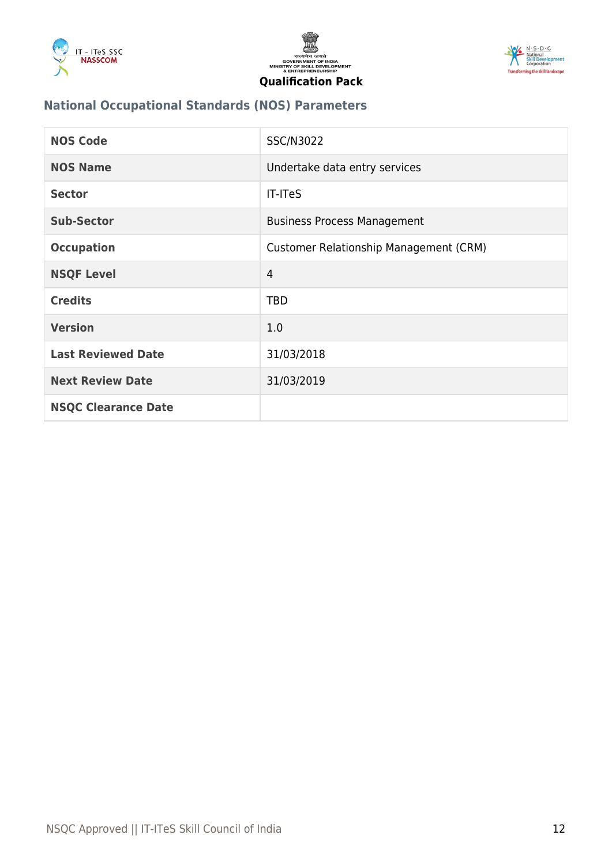





### **National Occupational Standards (NOS) Parameters**

| <b>NOS Code</b>            | <b>SSC/N3022</b>                              |
|----------------------------|-----------------------------------------------|
| <b>NOS Name</b>            | Undertake data entry services                 |
| <b>Sector</b>              | <b>IT-ITeS</b>                                |
| <b>Sub-Sector</b>          | <b>Business Process Management</b>            |
| <b>Occupation</b>          | <b>Customer Relationship Management (CRM)</b> |
| <b>NSQF Level</b>          | $\overline{4}$                                |
| <b>Credits</b>             | <b>TBD</b>                                    |
| <b>Version</b>             | 1.0                                           |
| <b>Last Reviewed Date</b>  | 31/03/2018                                    |
| <b>Next Review Date</b>    | 31/03/2019                                    |
| <b>NSQC Clearance Date</b> |                                               |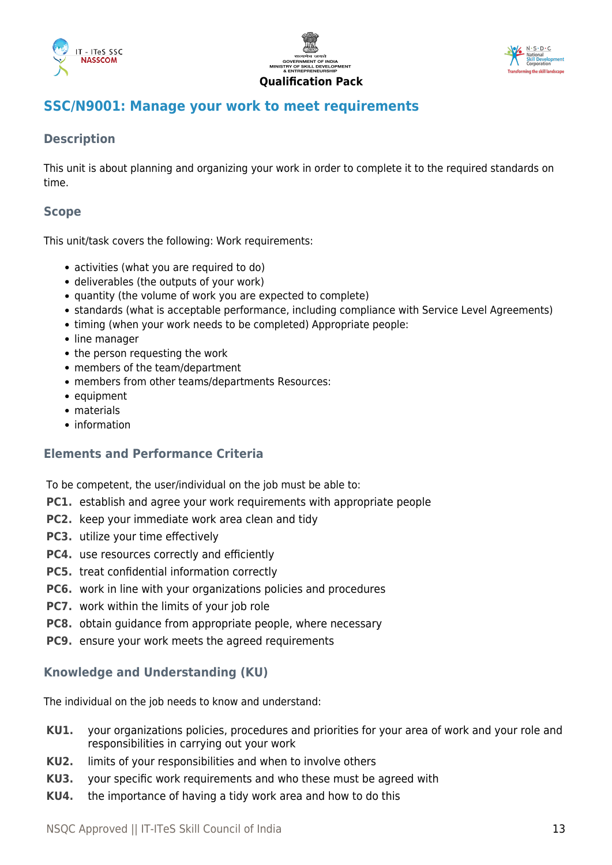





#### **Qualification Pack**

#### <span id="page-12-0"></span>**SSC/N9001: Manage your work to meet requirements**

#### **Description**

This unit is about planning and organizing your work in order to complete it to the required standards on time.

#### **Scope**

This unit/task covers the following: Work requirements:

- activities (what you are required to do)
- deliverables (the outputs of your work)
- quantity (the volume of work you are expected to complete)
- standards (what is acceptable performance, including compliance with Service Level Agreements)
- timing (when your work needs to be completed) Appropriate people:
- line manager
- the person requesting the work
- members of the team/department
- members from other teams/departments Resources:
- equipment
- materials
- information

#### **Elements and Performance Criteria**

To be competent, the user/individual on the job must be able to:

- **PC1.** establish and agree your work requirements with appropriate people
- **PC2.** keep your immediate work area clean and tidy
- **PC3.** utilize your time effectively
- **PC4.** use resources correctly and efficiently
- **PC5.** treat confidential information correctly
- **PC6.** work in line with your organizations policies and procedures
- **PC7.** work within the limits of your job role
- **PC8.** obtain guidance from appropriate people, where necessary
- **PC9.** ensure your work meets the agreed requirements

#### **Knowledge and Understanding (KU)**

The individual on the job needs to know and understand:

- **KU1.** your organizations policies, procedures and priorities for your area of work and your role and responsibilities in carrying out your work
- **KU2.** limits of your responsibilities and when to involve others
- **KU3.** your specific work requirements and who these must be agreed with
- **KU4.** the importance of having a tidy work area and how to do this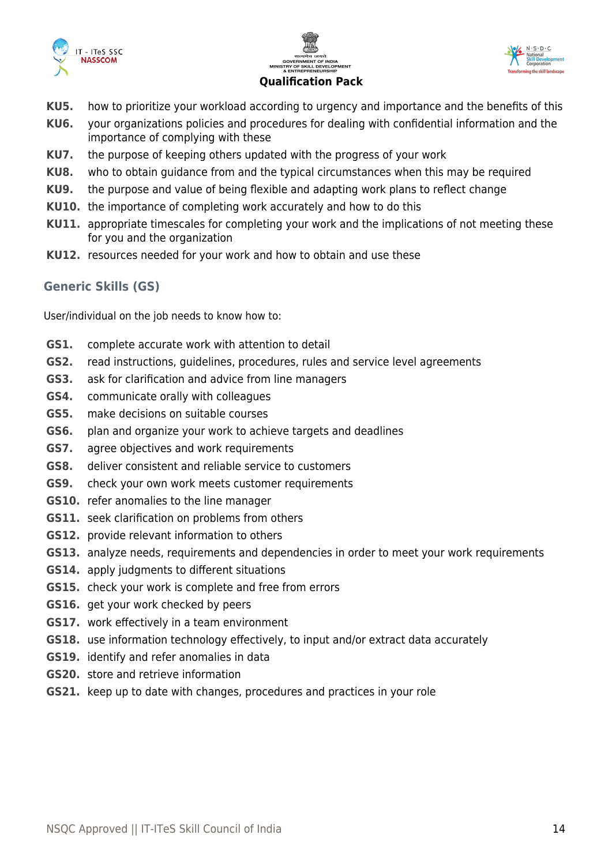





- **KU5.** how to prioritize your workload according to urgency and importance and the benefits of this
- **KU6.** your organizations policies and procedures for dealing with confidential information and the importance of complying with these
- **KU7.** the purpose of keeping others updated with the progress of your work
- **KU8.** who to obtain guidance from and the typical circumstances when this may be required
- **KU9.** the purpose and value of being flexible and adapting work plans to reflect change
- **KU10.** the importance of completing work accurately and how to do this
- **KU11.** appropriate timescales for completing your work and the implications of not meeting these for you and the organization
- **KU12.** resources needed for your work and how to obtain and use these

#### **Generic Skills (GS)**

User/individual on the job needs to know how to:

- **GS1.** complete accurate work with attention to detail
- **GS2.** read instructions, guidelines, procedures, rules and service level agreements
- **GS3.** ask for clarification and advice from line managers
- **GS4.** communicate orally with colleagues
- **GS5.** make decisions on suitable courses
- **GS6.** plan and organize your work to achieve targets and deadlines
- **GS7.** agree objectives and work requirements
- **GS8.** deliver consistent and reliable service to customers
- **GS9.** check your own work meets customer requirements
- **GS10.** refer anomalies to the line manager
- **GS11.** seek clarification on problems from others
- **GS12.** provide relevant information to others
- **GS13.** analyze needs, requirements and dependencies in order to meet your work requirements
- **GS14.** apply judgments to different situations
- **GS15.** check your work is complete and free from errors
- **GS16.** get your work checked by peers
- **GS17.** work effectively in a team environment
- **GS18.** use information technology effectively, to input and/or extract data accurately
- **GS19.** identify and refer anomalies in data
- **GS20.** store and retrieve information
- **GS21.** keep up to date with changes, procedures and practices in your role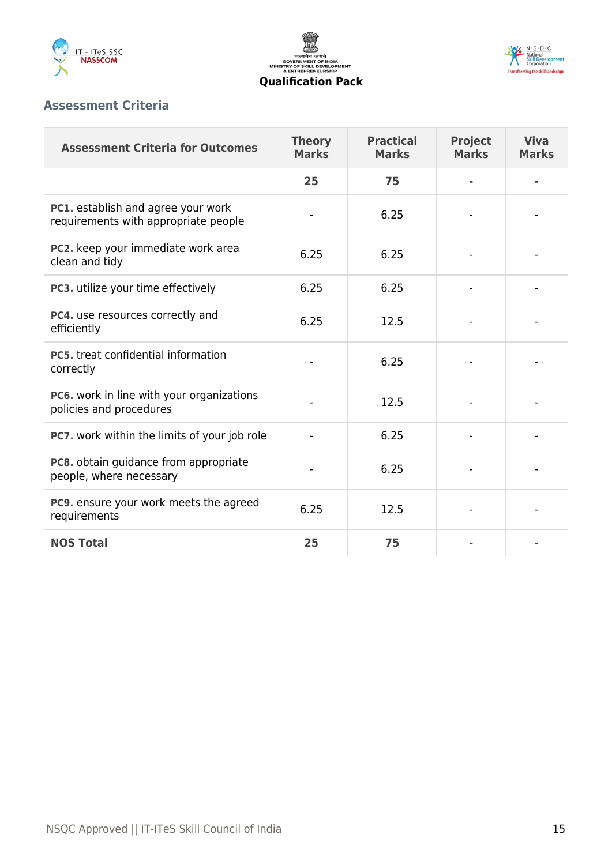





#### **Assessment Criteria**

| <b>Assessment Criteria for Outcomes</b>                                    | <b>Theory</b><br><b>Marks</b> | <b>Practical</b><br><b>Marks</b> | <b>Project</b><br><b>Marks</b> | <b>Viva</b><br><b>Marks</b> |
|----------------------------------------------------------------------------|-------------------------------|----------------------------------|--------------------------------|-----------------------------|
|                                                                            | 25                            | 75                               |                                |                             |
| PC1. establish and agree your work<br>requirements with appropriate people |                               | 6.25                             |                                |                             |
| PC2. keep your immediate work area<br>clean and tidy                       | 6.25                          | 6.25                             |                                |                             |
| PC3. utilize your time effectively                                         | 6.25                          | 6.25                             |                                |                             |
| PC4. use resources correctly and<br>efficiently                            | 6.25                          | 12.5                             |                                |                             |
| <b>PC5.</b> treat confidential information<br>correctly                    |                               | 6.25                             |                                |                             |
| PC6. work in line with your organizations<br>policies and procedures       |                               | 12.5                             |                                |                             |
| PC7. work within the limits of your job role                               |                               | 6.25                             |                                |                             |
| PC8. obtain guidance from appropriate<br>people, where necessary           |                               | 6.25                             |                                |                             |
| PC9. ensure your work meets the agreed<br>requirements                     | 6.25                          | 12.5                             |                                |                             |
| <b>NOS Total</b>                                                           | 25                            | 75                               |                                |                             |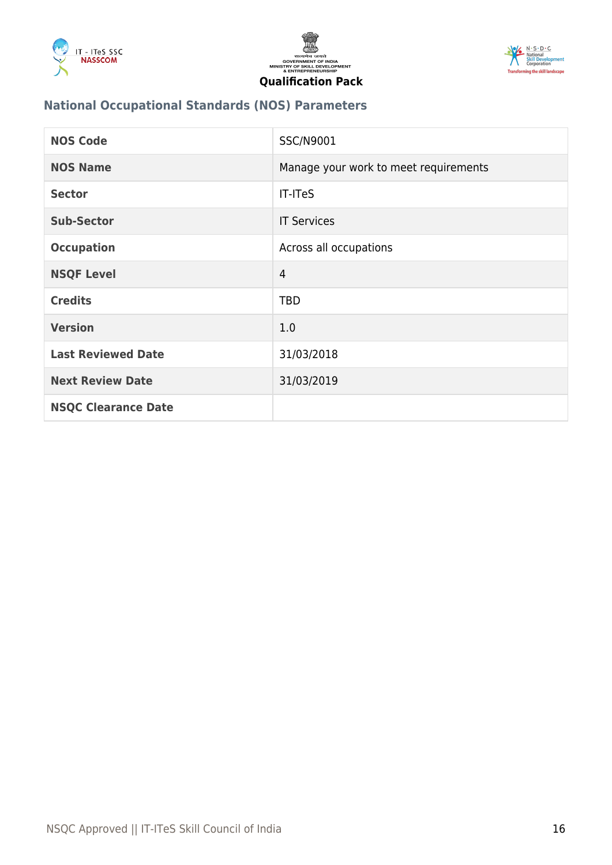





### **National Occupational Standards (NOS) Parameters**

| <b>NOS Code</b>            | SSC/N9001                             |
|----------------------------|---------------------------------------|
| <b>NOS Name</b>            | Manage your work to meet requirements |
| <b>Sector</b>              | <b>IT-ITeS</b>                        |
| <b>Sub-Sector</b>          | <b>IT Services</b>                    |
| <b>Occupation</b>          | Across all occupations                |
| <b>NSQF Level</b>          | 4                                     |
| <b>Credits</b>             | <b>TBD</b>                            |
| <b>Version</b>             | 1.0                                   |
| <b>Last Reviewed Date</b>  | 31/03/2018                            |
| <b>Next Review Date</b>    | 31/03/2019                            |
| <b>NSQC Clearance Date</b> |                                       |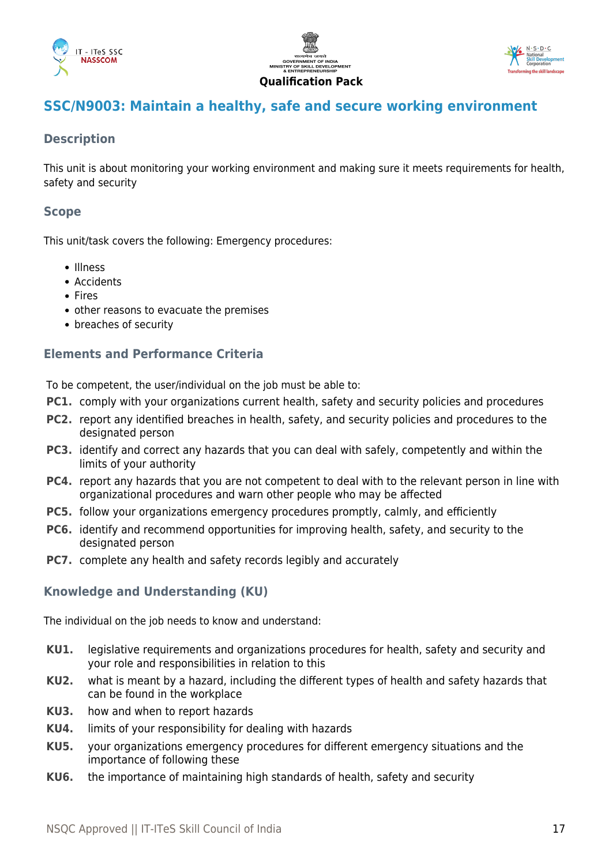





### <span id="page-16-0"></span>**SSC/N9003: Maintain a healthy, safe and secure working environment**

#### **Description**

This unit is about monitoring your working environment and making sure it meets requirements for health, safety and security

#### **Scope**

This unit/task covers the following: Emergency procedures:

- · Illness
- Accidents
- Fires
- other reasons to evacuate the premises
- breaches of security

#### **Elements and Performance Criteria**

To be competent, the user/individual on the job must be able to:

- **PC1.** comply with your organizations current health, safety and security policies and procedures
- **PC2.** report any identified breaches in health, safety, and security policies and procedures to the designated person
- **PC3.** identify and correct any hazards that you can deal with safely, competently and within the limits of your authority
- **PC4.** report any hazards that you are not competent to deal with to the relevant person in line with organizational procedures and warn other people who may be affected
- **PC5.** follow your organizations emergency procedures promptly, calmly, and efficiently
- **PC6.** identify and recommend opportunities for improving health, safety, and security to the designated person
- **PC7.** complete any health and safety records legibly and accurately

#### **Knowledge and Understanding (KU)**

The individual on the job needs to know and understand:

- **KU1.** legislative requirements and organizations procedures for health, safety and security and your role and responsibilities in relation to this
- **KU2.** what is meant by a hazard, including the different types of health and safety hazards that can be found in the workplace
- **KU3.** how and when to report hazards
- **KU4.** limits of your responsibility for dealing with hazards
- **KU5.** your organizations emergency procedures for different emergency situations and the importance of following these
- **KU6.** the importance of maintaining high standards of health, safety and security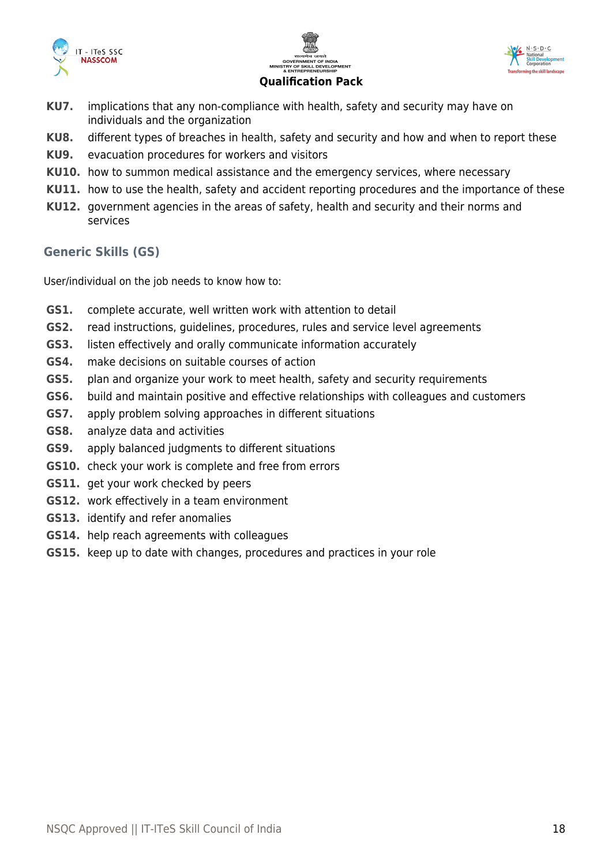





#### **KU7.** implications that any non-compliance with health, safety and security may have on individuals and the organization

- **KU8.** different types of breaches in health, safety and security and how and when to report these
- **KU9.** evacuation procedures for workers and visitors
- **KU10.** how to summon medical assistance and the emergency services, where necessary
- **KU11.** how to use the health, safety and accident reporting procedures and the importance of these
- **KU12.** government agencies in the areas of safety, health and security and their norms and services

#### **Generic Skills (GS)**

User/individual on the job needs to know how to:

- **GS1.** complete accurate, well written work with attention to detail
- **GS2.** read instructions, guidelines, procedures, rules and service level agreements
- **GS3.** listen effectively and orally communicate information accurately
- **GS4.** make decisions on suitable courses of action
- **GS5.** plan and organize your work to meet health, safety and security requirements
- **GS6.** build and maintain positive and effective relationships with colleagues and customers
- **GS7.** apply problem solving approaches in different situations
- **GS8.** analyze data and activities
- **GS9.** apply balanced judgments to different situations
- **GS10.** check your work is complete and free from errors
- **GS11.** get your work checked by peers
- **GS12.** work effectively in a team environment
- **GS13.** identify and refer anomalies
- **GS14.** help reach agreements with colleagues
- **GS15.** keep up to date with changes, procedures and practices in your role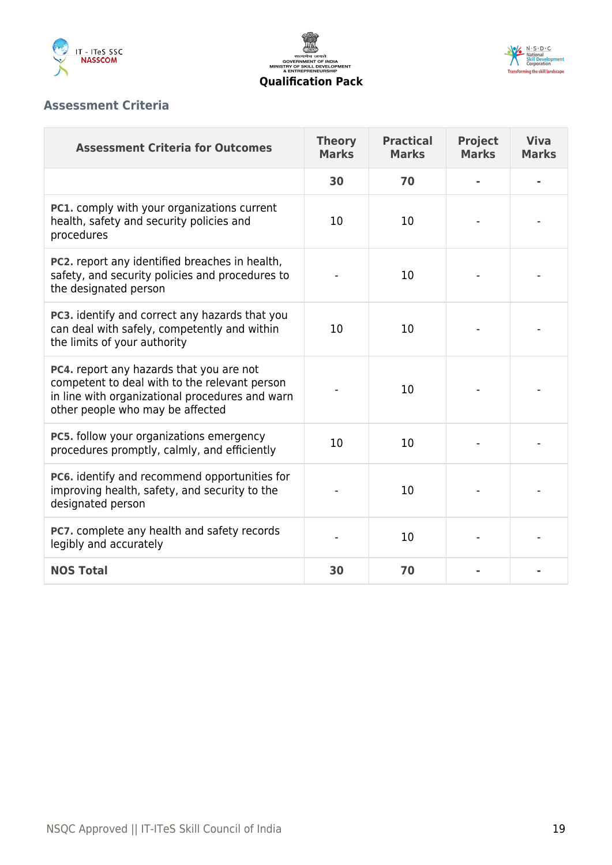





#### **Assessment Criteria**

| <b>Assessment Criteria for Outcomes</b>                                                                                                                                          | <b>Theory</b><br><b>Marks</b> | <b>Practical</b><br><b>Marks</b> | <b>Project</b><br><b>Marks</b> | <b>Viva</b><br><b>Marks</b> |
|----------------------------------------------------------------------------------------------------------------------------------------------------------------------------------|-------------------------------|----------------------------------|--------------------------------|-----------------------------|
|                                                                                                                                                                                  | 30                            | 70                               |                                |                             |
| PC1. comply with your organizations current<br>health, safety and security policies and<br>procedures                                                                            | 10                            | 10                               |                                |                             |
| PC2. report any identified breaches in health,<br>safety, and security policies and procedures to<br>the designated person                                                       |                               | 10                               |                                |                             |
| PC3. identify and correct any hazards that you<br>can deal with safely, competently and within<br>the limits of your authority                                                   | 10                            | 10                               |                                |                             |
| PC4. report any hazards that you are not<br>competent to deal with to the relevant person<br>in line with organizational procedures and warn<br>other people who may be affected |                               | 10                               |                                |                             |
| <b>PC5.</b> follow your organizations emergency<br>procedures promptly, calmly, and efficiently                                                                                  | 10                            | 10                               |                                |                             |
| PC6. identify and recommend opportunities for<br>improving health, safety, and security to the<br>designated person                                                              |                               | 10                               |                                |                             |
| PC7. complete any health and safety records<br>legibly and accurately                                                                                                            |                               | 10                               |                                |                             |
| <b>NOS Total</b>                                                                                                                                                                 | 30                            | 70                               |                                |                             |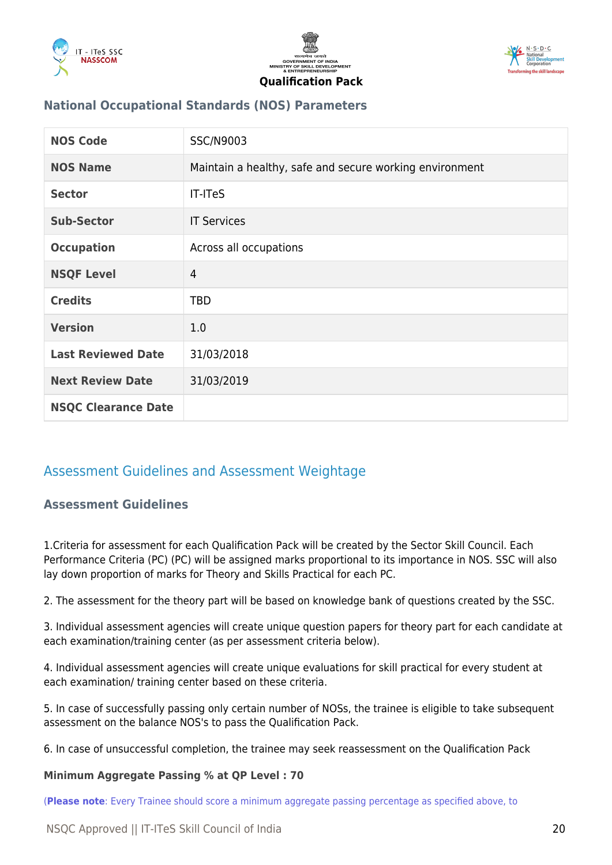





#### **National Occupational Standards (NOS) Parameters**

| <b>NOS Code</b>            | SSC/N9003                                               |
|----------------------------|---------------------------------------------------------|
| <b>NOS Name</b>            | Maintain a healthy, safe and secure working environment |
| <b>Sector</b>              | <b>IT-ITeS</b>                                          |
| <b>Sub-Sector</b>          | <b>IT Services</b>                                      |
| <b>Occupation</b>          | Across all occupations                                  |
| <b>NSQF Level</b>          | $\overline{4}$                                          |
| <b>Credits</b>             | <b>TBD</b>                                              |
| <b>Version</b>             | 1.0                                                     |
| <b>Last Reviewed Date</b>  | 31/03/2018                                              |
| <b>Next Review Date</b>    | 31/03/2019                                              |
| <b>NSQC Clearance Date</b> |                                                         |

### <span id="page-19-1"></span><span id="page-19-0"></span>Assessment Guidelines and Assessment Weightage

#### **Assessment Guidelines**

1.Criteria for assessment for each Qualification Pack will be created by the Sector Skill Council. Each Performance Criteria (PC) (PC) will be assigned marks proportional to its importance in NOS. SSC will also lay down proportion of marks for Theory and Skills Practical for each PC.

2. The assessment for the theory part will be based on knowledge bank of questions created by the SSC.

3. Individual assessment agencies will create unique question papers for theory part for each candidate at each examination/training center (as per assessment criteria below).

4. Individual assessment agencies will create unique evaluations for skill practical for every student at each examination/ training center based on these criteria.

5. In case of successfully passing only certain number of NOSs, the trainee is eligible to take subsequent assessment on the balance NOS's to pass the Qualification Pack.

6. In case of unsuccessful completion, the trainee may seek reassessment on the Qualification Pack

#### **Minimum Aggregate Passing % at QP Level : 70**

(**Please note**: Every Trainee should score a minimum aggregate passing percentage as specified above, to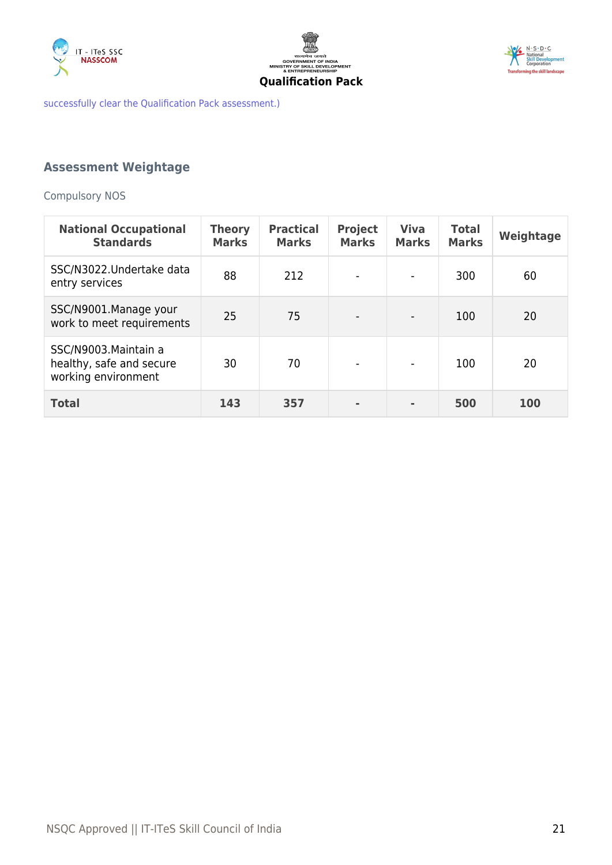





successfully clear the Qualification Pack assessment.)

### <span id="page-20-0"></span>**Assessment Weightage**

Compulsory NOS

| <b>National Occupational</b><br><b>Standards</b>                         | <b>Theory</b><br><b>Marks</b> | <b>Practical</b><br><b>Marks</b> | <b>Project</b><br><b>Marks</b> | <b>Viva</b><br><b>Marks</b> | <b>Total</b><br><b>Marks</b> | Weightage  |
|--------------------------------------------------------------------------|-------------------------------|----------------------------------|--------------------------------|-----------------------------|------------------------------|------------|
| SSC/N3022.Undertake data<br>entry services                               | 88                            | 212                              |                                | $\blacksquare$              | 300                          | 60         |
| SSC/N9001.Manage your<br>work to meet requirements                       | 25                            | 75                               |                                |                             | 100                          | 20         |
| SSC/N9003. Maintain a<br>healthy, safe and secure<br>working environment | 30                            | 70                               | $\overline{\phantom{a}}$       | $\overline{\phantom{a}}$    | 100                          | 20         |
| <b>Total</b>                                                             | 143                           | 357                              |                                |                             | 500                          | <b>100</b> |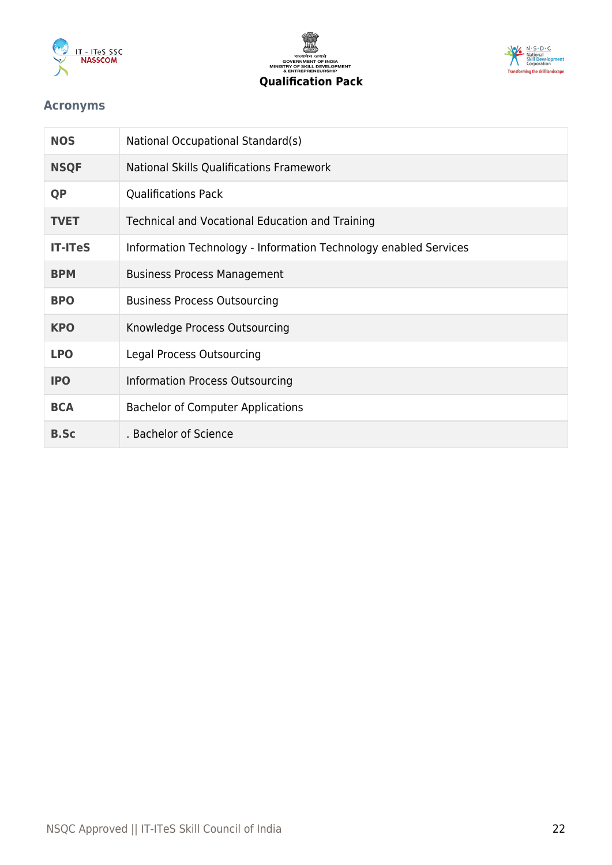





#### <span id="page-21-0"></span>**Acronyms**

| <b>NOS</b>     | National Occupational Standard(s)                                |
|----------------|------------------------------------------------------------------|
| <b>NSQF</b>    | National Skills Qualifications Framework                         |
| <b>QP</b>      | <b>Qualifications Pack</b>                                       |
| <b>TVET</b>    | Technical and Vocational Education and Training                  |
| <b>IT-ITeS</b> | Information Technology - Information Technology enabled Services |
| <b>BPM</b>     | <b>Business Process Management</b>                               |
| <b>BPO</b>     | <b>Business Process Outsourcing</b>                              |
| <b>KPO</b>     | Knowledge Process Outsourcing                                    |
| <b>LPO</b>     | Legal Process Outsourcing                                        |
| <b>IPO</b>     | Information Process Outsourcing                                  |
| <b>BCA</b>     | <b>Bachelor of Computer Applications</b>                         |
| <b>B.Sc</b>    | . Bachelor of Science                                            |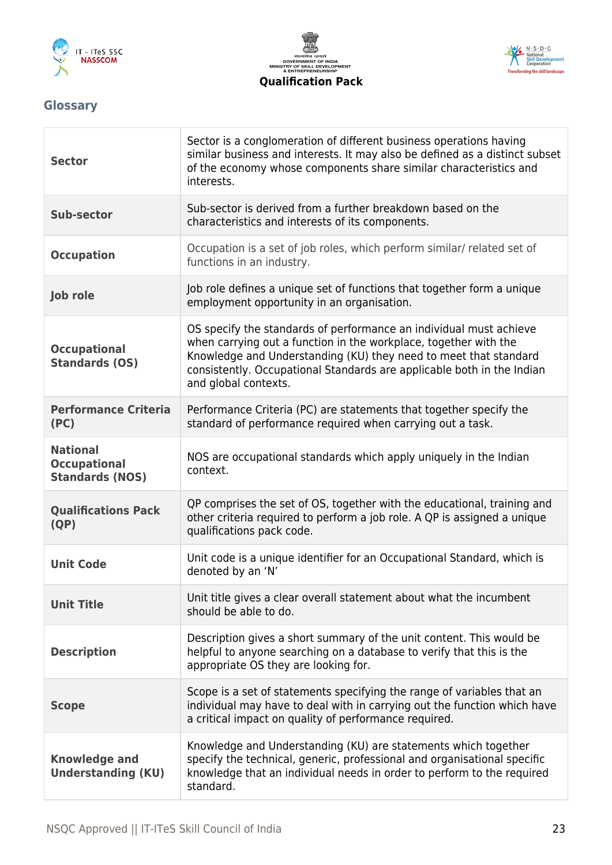





# <span id="page-22-0"></span>**Glossary**

| <b>Sector</b>                                                    | Sector is a conglomeration of different business operations having<br>similar business and interests. It may also be defined as a distinct subset<br>of the economy whose components share similar characteristics and<br>interests.                                                                         |
|------------------------------------------------------------------|--------------------------------------------------------------------------------------------------------------------------------------------------------------------------------------------------------------------------------------------------------------------------------------------------------------|
| <b>Sub-sector</b>                                                | Sub-sector is derived from a further breakdown based on the<br>characteristics and interests of its components.                                                                                                                                                                                              |
| <b>Occupation</b>                                                | Occupation is a set of job roles, which perform similar/ related set of<br>functions in an industry.                                                                                                                                                                                                         |
| <b>Job role</b>                                                  | Job role defines a unique set of functions that together form a unique<br>employment opportunity in an organisation.                                                                                                                                                                                         |
| <b>Occupational</b><br><b>Standards (OS)</b>                     | OS specify the standards of performance an individual must achieve<br>when carrying out a function in the workplace, together with the<br>Knowledge and Understanding (KU) they need to meet that standard<br>consistently. Occupational Standards are applicable both in the Indian<br>and global contexts. |
| <b>Performance Criteria</b><br>(PC)                              | Performance Criteria (PC) are statements that together specify the<br>standard of performance required when carrying out a task.                                                                                                                                                                             |
| <b>National</b><br><b>Occupational</b><br><b>Standards (NOS)</b> | NOS are occupational standards which apply uniquely in the Indian<br>context.                                                                                                                                                                                                                                |
| <b>Qualifications Pack</b><br>(QP)                               | QP comprises the set of OS, together with the educational, training and<br>other criteria required to perform a job role. A QP is assigned a unique<br>qualifications pack code.                                                                                                                             |
| <b>Unit Code</b>                                                 | Unit code is a unique identifier for an Occupational Standard, which is<br>denoted by an 'N'                                                                                                                                                                                                                 |
| <b>Unit Title</b>                                                | Unit title gives a clear overall statement about what the incumbent<br>should be able to do.                                                                                                                                                                                                                 |
| <b>Description</b>                                               | Description gives a short summary of the unit content. This would be<br>helpful to anyone searching on a database to verify that this is the<br>appropriate OS they are looking for.                                                                                                                         |
| <b>Scope</b>                                                     | Scope is a set of statements specifying the range of variables that an<br>individual may have to deal with in carrying out the function which have<br>a critical impact on quality of performance required.                                                                                                  |
| <b>Knowledge and</b><br><b>Understanding (KU)</b>                | Knowledge and Understanding (KU) are statements which together<br>specify the technical, generic, professional and organisational specific<br>knowledge that an individual needs in order to perform to the required<br>standard.                                                                            |